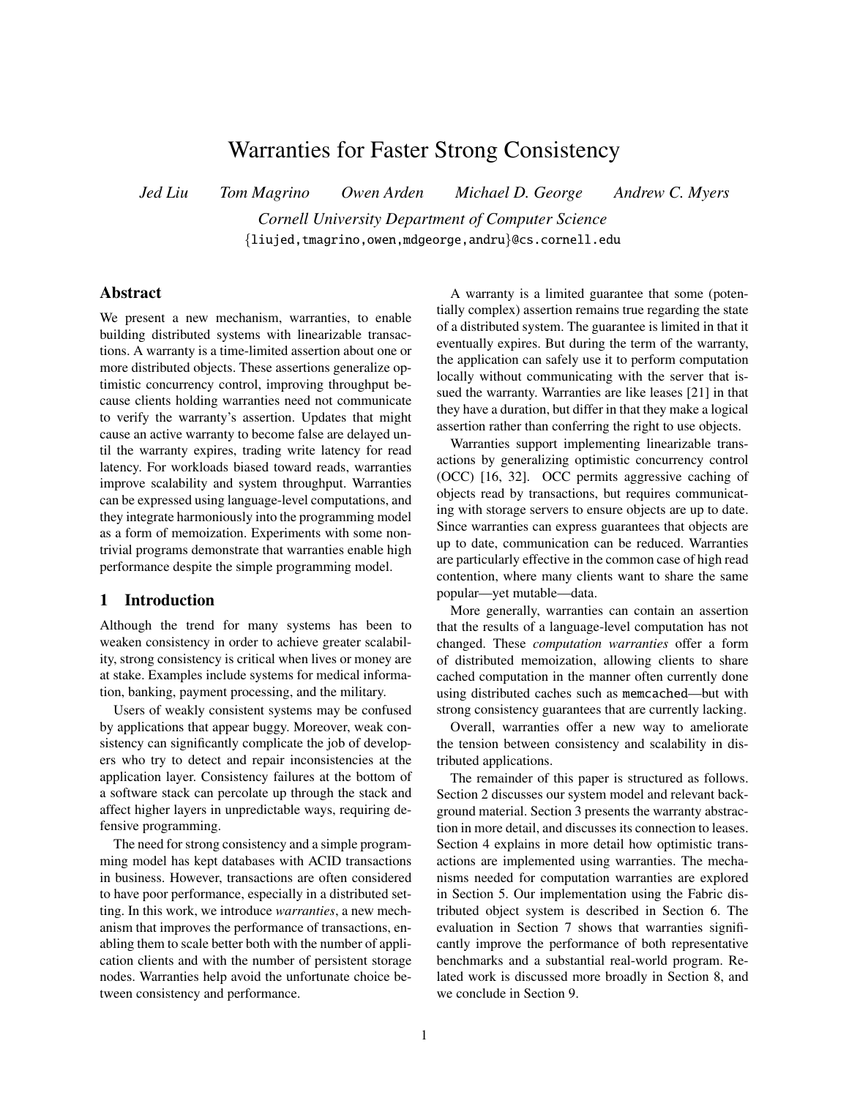# Warranties for Faster Strong Consistency

*Jed Liu Tom Magrino Owen Arden Michael D. George Andrew C. Myers*

*Cornell University Department of Computer Science* {liujed,tmagrino,owen,mdgeorge,andru}@cs.cornell.edu

# Abstract

We present a new mechanism, warranties, to enable building distributed systems with linearizable transactions. A warranty is a time-limited assertion about one or more distributed objects. These assertions generalize optimistic concurrency control, improving throughput because clients holding warranties need not communicate to verify the warranty's assertion. Updates that might cause an active warranty to become false are delayed until the warranty expires, trading write latency for read latency. For workloads biased toward reads, warranties improve scalability and system throughput. Warranties can be expressed using language-level computations, and they integrate harmoniously into the programming model as a form of memoization. Experiments with some nontrivial programs demonstrate that warranties enable high performance despite the simple programming model.

# 1 Introduction

Although the trend for many systems has been to weaken consistency in order to achieve greater scalability, strong consistency is critical when lives or money are at stake. Examples include systems for medical information, banking, payment processing, and the military.

Users of weakly consistent systems may be confused by applications that appear buggy. Moreover, weak consistency can significantly complicate the job of developers who try to detect and repair inconsistencies at the application layer. Consistency failures at the bottom of a software stack can percolate up through the stack and affect higher layers in unpredictable ways, requiring defensive programming.

The need for strong consistency and a simple programming model has kept databases with ACID transactions in business. However, transactions are often considered to have poor performance, especially in a distributed setting. In this work, we introduce *warranties*, a new mechanism that improves the performance of transactions, enabling them to scale better both with the number of application clients and with the number of persistent storage nodes. Warranties help avoid the unfortunate choice between consistency and performance.

A warranty is a limited guarantee that some (potentially complex) assertion remains true regarding the state of a distributed system. The guarantee is limited in that it eventually expires. But during the term of the warranty, the application can safely use it to perform computation locally without communicating with the server that issued the warranty. Warranties are like leases [\[21\]](#page-13-0) in that they have a duration, but differ in that they make a logical assertion rather than conferring the right to use objects.

Warranties support implementing linearizable transactions by generalizing optimistic concurrency control (OCC) [\[16,](#page-13-1) [32\]](#page-13-2). OCC permits aggressive caching of objects read by transactions, but requires communicating with storage servers to ensure objects are up to date. Since warranties can express guarantees that objects are up to date, communication can be reduced. Warranties are particularly effective in the common case of high read contention, where many clients want to share the same popular—yet mutable—data.

More generally, warranties can contain an assertion that the results of a language-level computation has not changed. These *computation warranties* offer a form of distributed memoization, allowing clients to share cached computation in the manner often currently done using distributed caches such as memcached—but with strong consistency guarantees that are currently lacking.

Overall, warranties offer a new way to ameliorate the tension between consistency and scalability in distributed applications.

The remainder of this paper is structured as follows. Section [2](#page-1-0) discusses our system model and relevant background material. Section [3](#page-1-1) presents the warranty abstraction in more detail, and discusses its connection to leases. Section [4](#page-6-0) explains in more detail how optimistic transactions are implemented using warranties. The mechanisms needed for computation warranties are explored in Section [5.](#page-6-1) Our implementation using the Fabric distributed object system is described in Section [6.](#page-8-0) The evaluation in Section [7](#page-8-1) shows that warranties significantly improve the performance of both representative benchmarks and a substantial real-world program. Related work is discussed more broadly in Section [8,](#page-11-0) and we conclude in Section [9.](#page-12-0)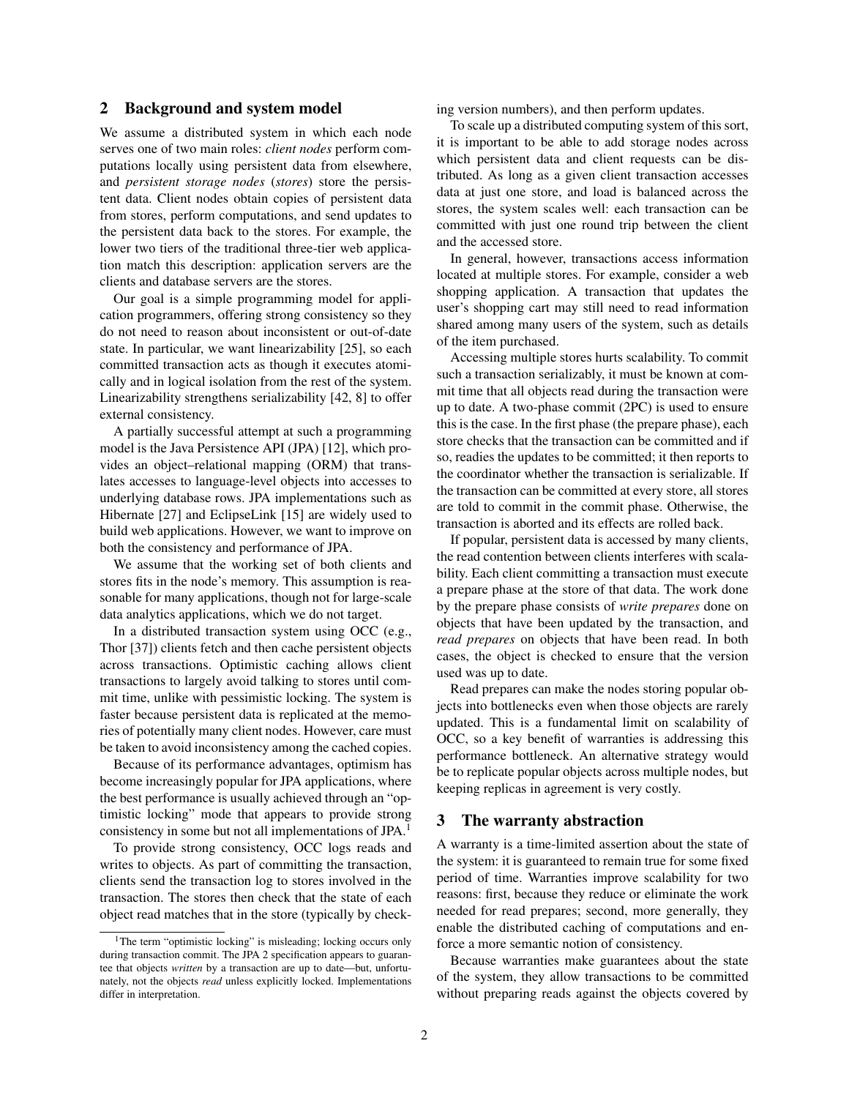# <span id="page-1-0"></span>2 Background and system model

We assume a distributed system in which each node serves one of two main roles: *client nodes* perform computations locally using persistent data from elsewhere, and *persistent storage nodes* (*stores*) store the persistent data. Client nodes obtain copies of persistent data from stores, perform computations, and send updates to the persistent data back to the stores. For example, the lower two tiers of the traditional three-tier web application match this description: application servers are the clients and database servers are the stores.

Our goal is a simple programming model for application programmers, offering strong consistency so they do not need to reason about inconsistent or out-of-date state. In particular, we want linearizability [\[25\]](#page-13-3), so each committed transaction acts as though it executes atomically and in logical isolation from the rest of the system. Linearizability strengthens serializability [\[42,](#page-14-0) [8\]](#page-12-1) to offer external consistency.

A partially successful attempt at such a programming model is the Java Persistence API (JPA) [\[12\]](#page-12-2), which provides an object–relational mapping (ORM) that translates accesses to language-level objects into accesses to underlying database rows. JPA implementations such as Hibernate [\[27\]](#page-13-4) and EclipseLink [\[15\]](#page-13-5) are widely used to build web applications. However, we want to improve on both the consistency and performance of JPA.

We assume that the working set of both clients and stores fits in the node's memory. This assumption is reasonable for many applications, though not for large-scale data analytics applications, which we do not target.

In a distributed transaction system using OCC (e.g., Thor [\[37\]](#page-13-6)) clients fetch and then cache persistent objects across transactions. Optimistic caching allows client transactions to largely avoid talking to stores until commit time, unlike with pessimistic locking. The system is faster because persistent data is replicated at the memories of potentially many client nodes. However, care must be taken to avoid inconsistency among the cached copies.

Because of its performance advantages, optimism has become increasingly popular for JPA applications, where the best performance is usually achieved through an "optimistic locking" mode that appears to provide strong consistency in some but not all implementations of JPA.<sup>[1](#page-1-2)</sup>

To provide strong consistency, OCC logs reads and writes to objects. As part of committing the transaction, clients send the transaction log to stores involved in the transaction. The stores then check that the state of each object read matches that in the store (typically by checking version numbers), and then perform updates.

To scale up a distributed computing system of this sort, it is important to be able to add storage nodes across which persistent data and client requests can be distributed. As long as a given client transaction accesses data at just one store, and load is balanced across the stores, the system scales well: each transaction can be committed with just one round trip between the client and the accessed store.

In general, however, transactions access information located at multiple stores. For example, consider a web shopping application. A transaction that updates the user's shopping cart may still need to read information shared among many users of the system, such as details of the item purchased.

Accessing multiple stores hurts scalability. To commit such a transaction serializably, it must be known at commit time that all objects read during the transaction were up to date. A two-phase commit (2PC) is used to ensure this is the case. In the first phase (the prepare phase), each store checks that the transaction can be committed and if so, readies the updates to be committed; it then reports to the coordinator whether the transaction is serializable. If the transaction can be committed at every store, all stores are told to commit in the commit phase. Otherwise, the transaction is aborted and its effects are rolled back.

If popular, persistent data is accessed by many clients, the read contention between clients interferes with scalability. Each client committing a transaction must execute a prepare phase at the store of that data. The work done by the prepare phase consists of *write prepares* done on objects that have been updated by the transaction, and *read prepares* on objects that have been read. In both cases, the object is checked to ensure that the version used was up to date.

Read prepares can make the nodes storing popular objects into bottlenecks even when those objects are rarely updated. This is a fundamental limit on scalability of OCC, so a key benefit of warranties is addressing this performance bottleneck. An alternative strategy would be to replicate popular objects across multiple nodes, but keeping replicas in agreement is very costly.

# <span id="page-1-1"></span>3 The warranty abstraction

A warranty is a time-limited assertion about the state of the system: it is guaranteed to remain true for some fixed period of time. Warranties improve scalability for two reasons: first, because they reduce or eliminate the work needed for read prepares; second, more generally, they enable the distributed caching of computations and enforce a more semantic notion of consistency.

Because warranties make guarantees about the state of the system, they allow transactions to be committed without preparing reads against the objects covered by

<span id="page-1-2"></span><sup>&</sup>lt;sup>1</sup>The term "optimistic locking" is misleading; locking occurs only during transaction commit. The JPA 2 specification appears to guarantee that objects *written* by a transaction are up to date—but, unfortunately, not the objects *read* unless explicitly locked. Implementations differ in interpretation.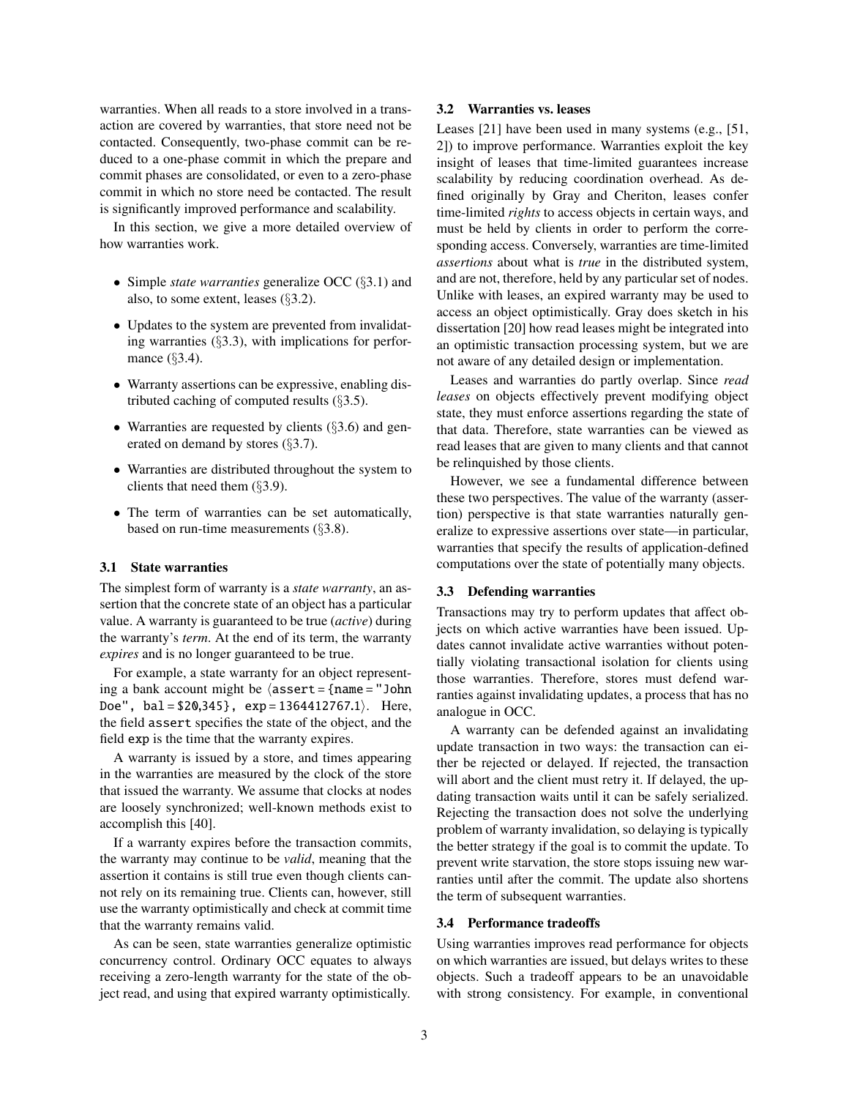warranties. When all reads to a store involved in a transaction are covered by warranties, that store need not be contacted. Consequently, two-phase commit can be reduced to a one-phase commit in which the prepare and commit phases are consolidated, or even to a zero-phase commit in which no store need be contacted. The result is significantly improved performance and scalability.

In this section, we give a more detailed overview of how warranties work.

- Simple *state warranties* generalize OCC (§[3.1\)](#page-2-0) and also, to some extent, leases (§[3.2\)](#page-2-1).
- Updates to the system are prevented from invalidating warranties (§[3.3\)](#page-2-2), with implications for perfor-mance (§[3.4\)](#page-2-3).
- Warranty assertions can be expressive, enabling distributed caching of computed results (§[3.5\)](#page-3-0).
- Warranties are requested by clients (§[3.6\)](#page-3-1) and generated on demand by stores (§[3.7\)](#page-4-0).
- Warranties are distributed throughout the system to clients that need them (§[3.9\)](#page-5-0).
- The term of warranties can be set automatically, based on run-time measurements (§[3.8\)](#page-4-1).

#### <span id="page-2-0"></span>3.1 State warranties

The simplest form of warranty is a *state warranty*, an assertion that the concrete state of an object has a particular value. A warranty is guaranteed to be true (*active*) during the warranty's *term*. At the end of its term, the warranty *expires* and is no longer guaranteed to be true.

For example, a state warranty for an object representing a bank account might be  $\Delta s$ sert = {name = "John Doe",  $bal = $20,345$ ,  $exp = 1364412767.1$ . Here, the field assert specifies the state of the object, and the field exp is the time that the warranty expires.

A warranty is issued by a store, and times appearing in the warranties are measured by the clock of the store that issued the warranty. We assume that clocks at nodes are loosely synchronized; well-known methods exist to accomplish this [\[40\]](#page-14-1).

If a warranty expires before the transaction commits, the warranty may continue to be *valid*, meaning that the assertion it contains is still true even though clients cannot rely on its remaining true. Clients can, however, still use the warranty optimistically and check at commit time that the warranty remains valid.

As can be seen, state warranties generalize optimistic concurrency control. Ordinary OCC equates to always receiving a zero-length warranty for the state of the object read, and using that expired warranty optimistically.

# <span id="page-2-1"></span>3.2 Warranties vs. leases

Leases [\[21\]](#page-13-0) have been used in many systems (e.g., [\[51,](#page-14-2) [2\]](#page-12-3)) to improve performance. Warranties exploit the key insight of leases that time-limited guarantees increase scalability by reducing coordination overhead. As defined originally by Gray and Cheriton, leases confer time-limited *rights* to access objects in certain ways, and must be held by clients in order to perform the corresponding access. Conversely, warranties are time-limited *assertions* about what is *true* in the distributed system, and are not, therefore, held by any particular set of nodes. Unlike with leases, an expired warranty may be used to access an object optimistically. Gray does sketch in his dissertation [\[20\]](#page-13-7) how read leases might be integrated into an optimistic transaction processing system, but we are not aware of any detailed design or implementation.

Leases and warranties do partly overlap. Since *read leases* on objects effectively prevent modifying object state, they must enforce assertions regarding the state of that data. Therefore, state warranties can be viewed as read leases that are given to many clients and that cannot be relinquished by those clients.

However, we see a fundamental difference between these two perspectives. The value of the warranty (assertion) perspective is that state warranties naturally generalize to expressive assertions over state—in particular, warranties that specify the results of application-defined computations over the state of potentially many objects.

# <span id="page-2-2"></span>3.3 Defending warranties

Transactions may try to perform updates that affect objects on which active warranties have been issued. Updates cannot invalidate active warranties without potentially violating transactional isolation for clients using those warranties. Therefore, stores must defend warranties against invalidating updates, a process that has no analogue in OCC.

A warranty can be defended against an invalidating update transaction in two ways: the transaction can either be rejected or delayed. If rejected, the transaction will abort and the client must retry it. If delayed, the updating transaction waits until it can be safely serialized. Rejecting the transaction does not solve the underlying problem of warranty invalidation, so delaying is typically the better strategy if the goal is to commit the update. To prevent write starvation, the store stops issuing new warranties until after the commit. The update also shortens the term of subsequent warranties.

#### <span id="page-2-3"></span>3.4 Performance tradeoffs

Using warranties improves read performance for objects on which warranties are issued, but delays writes to these objects. Such a tradeoff appears to be an unavoidable with strong consistency. For example, in conventional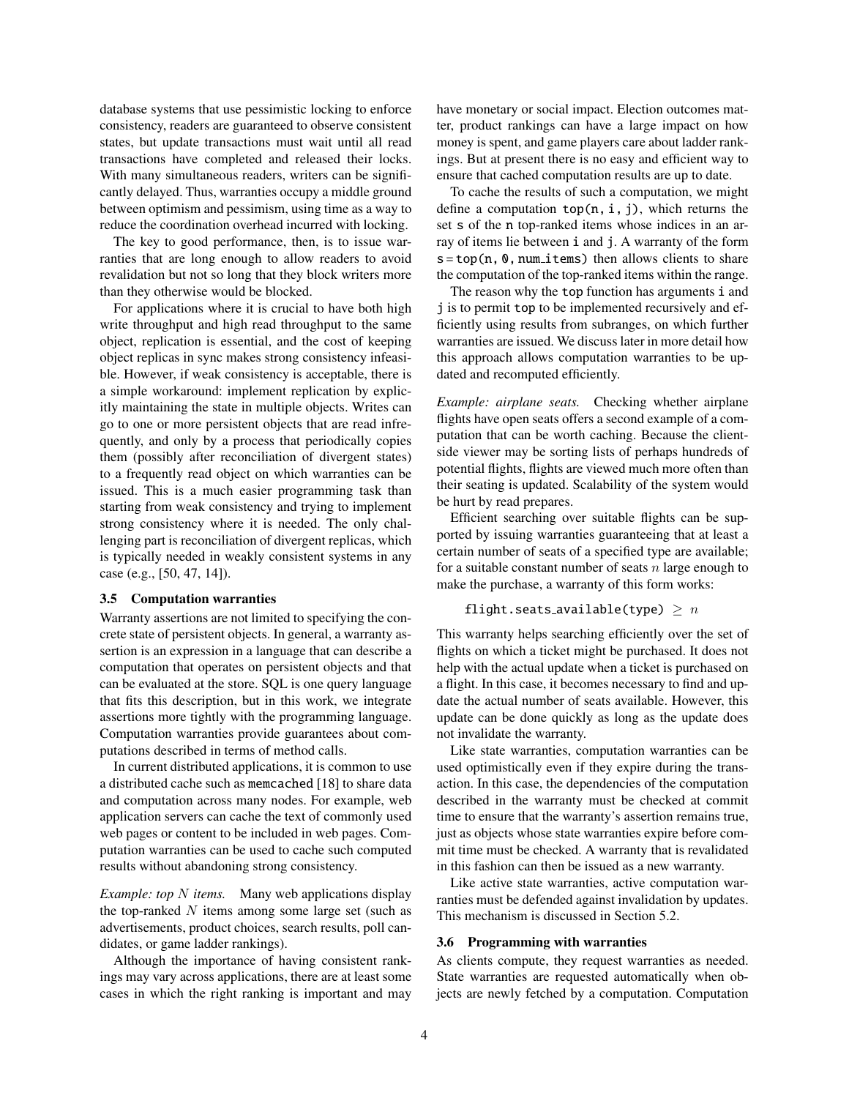database systems that use pessimistic locking to enforce consistency, readers are guaranteed to observe consistent states, but update transactions must wait until all read transactions have completed and released their locks. With many simultaneous readers, writers can be significantly delayed. Thus, warranties occupy a middle ground between optimism and pessimism, using time as a way to reduce the coordination overhead incurred with locking.

The key to good performance, then, is to issue warranties that are long enough to allow readers to avoid revalidation but not so long that they block writers more than they otherwise would be blocked.

For applications where it is crucial to have both high write throughput and high read throughput to the same object, replication is essential, and the cost of keeping object replicas in sync makes strong consistency infeasible. However, if weak consistency is acceptable, there is a simple workaround: implement replication by explicitly maintaining the state in multiple objects. Writes can go to one or more persistent objects that are read infrequently, and only by a process that periodically copies them (possibly after reconciliation of divergent states) to a frequently read object on which warranties can be issued. This is a much easier programming task than starting from weak consistency and trying to implement strong consistency where it is needed. The only challenging part is reconciliation of divergent replicas, which is typically needed in weakly consistent systems in any case (e.g., [\[50,](#page-14-3) [47,](#page-14-4) [14\]](#page-13-8)).

#### <span id="page-3-0"></span>3.5 Computation warranties

Warranty assertions are not limited to specifying the concrete state of persistent objects. In general, a warranty assertion is an expression in a language that can describe a computation that operates on persistent objects and that can be evaluated at the store. SQL is one query language that fits this description, but in this work, we integrate assertions more tightly with the programming language. Computation warranties provide guarantees about computations described in terms of method calls.

In current distributed applications, it is common to use a distributed cache such as memcached [\[18\]](#page-13-9) to share data and computation across many nodes. For example, web application servers can cache the text of commonly used web pages or content to be included in web pages. Computation warranties can be used to cache such computed results without abandoning strong consistency.

<span id="page-3-2"></span>*Example: top N items.* Many web applications display the top-ranked  $N$  items among some large set (such as advertisements, product choices, search results, poll candidates, or game ladder rankings).

Although the importance of having consistent rankings may vary across applications, there are at least some cases in which the right ranking is important and may have monetary or social impact. Election outcomes matter, product rankings can have a large impact on how money is spent, and game players care about ladder rankings. But at present there is no easy and efficient way to ensure that cached computation results are up to date.

To cache the results of such a computation, we might define a computation  $top(n, i, j)$ , which returns the set s of the n top-ranked items whose indices in an array of items lie between i and j. A warranty of the form  $s = top(n, 0, num\_items)$  then allows clients to share the computation of the top-ranked items within the range.

The reason why the top function has arguments i and j is to permit top to be implemented recursively and efficiently using results from subranges, on which further warranties are issued. We discuss later in more detail how this approach allows computation warranties to be updated and recomputed efficiently.

*Example: airplane seats.* Checking whether airplane flights have open seats offers a second example of a computation that can be worth caching. Because the clientside viewer may be sorting lists of perhaps hundreds of potential flights, flights are viewed much more often than their seating is updated. Scalability of the system would be hurt by read prepares.

Efficient searching over suitable flights can be supported by issuing warranties guaranteeing that at least a certain number of seats of a specified type are available; for a suitable constant number of seats  $n$  large enough to make the purchase, a warranty of this form works:

# flight.seats\_available(type)  $\geq n$

This warranty helps searching efficiently over the set of flights on which a ticket might be purchased. It does not help with the actual update when a ticket is purchased on a flight. In this case, it becomes necessary to find and update the actual number of seats available. However, this update can be done quickly as long as the update does not invalidate the warranty.

Like state warranties, computation warranties can be used optimistically even if they expire during the transaction. In this case, the dependencies of the computation described in the warranty must be checked at commit time to ensure that the warranty's assertion remains true, just as objects whose state warranties expire before commit time must be checked. A warranty that is revalidated in this fashion can then be issued as a new warranty.

Like active state warranties, active computation warranties must be defended against invalidation by updates. This mechanism is discussed in Section [5.2.](#page-7-0)

#### <span id="page-3-1"></span>3.6 Programming with warranties

As clients compute, they request warranties as needed. State warranties are requested automatically when objects are newly fetched by a computation. Computation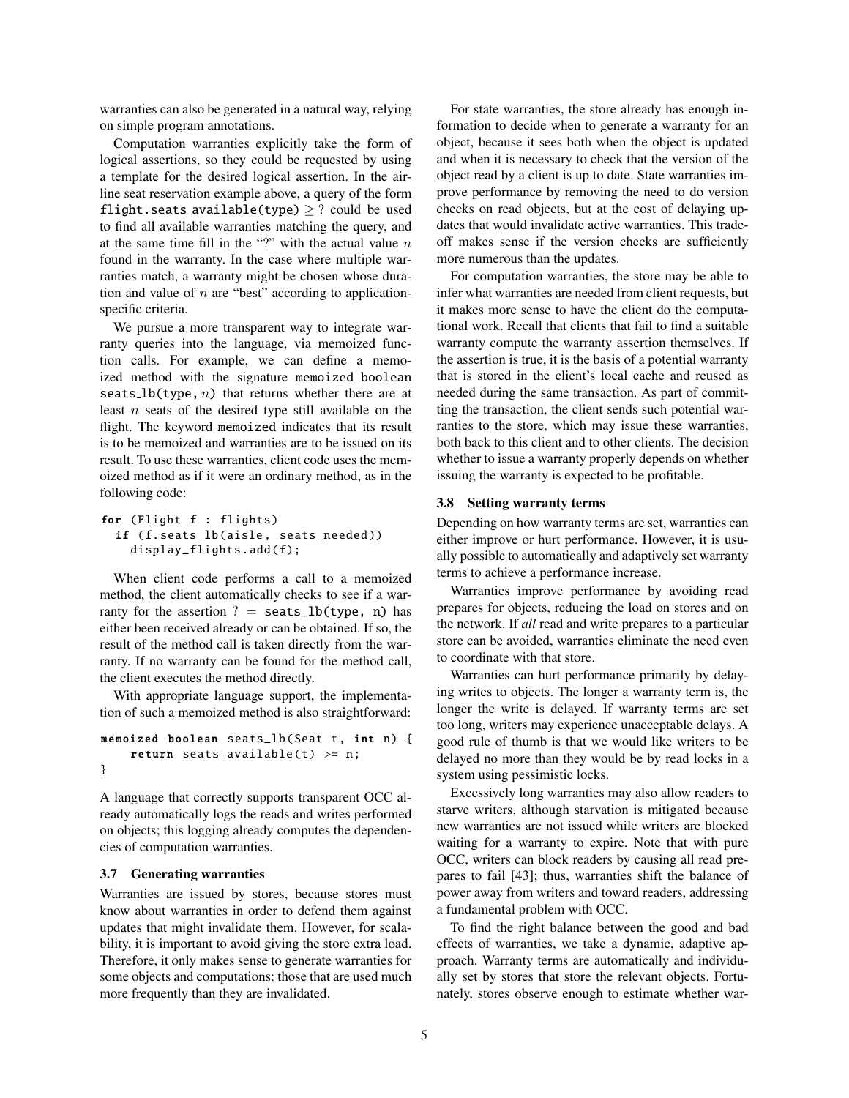warranties can also be generated in a natural way, relying on simple program annotations.

Computation warranties explicitly take the form of logical assertions, so they could be requested by using a template for the desired logical assertion. In the airline seat reservation example above, a query of the form flight.seats\_available(type)  $\ge$  ? could be used to find all available warranties matching the query, and at the same time fill in the "?" with the actual value  $n$ found in the warranty. In the case where multiple warranties match, a warranty might be chosen whose duration and value of  $n$  are "best" according to applicationspecific criteria.

We pursue a more transparent way to integrate warranty queries into the language, via memoized function calls. For example, we can define a memoized method with the signature memoized boolean seats\_ $lb$ (type,  $n)$  that returns whether there are at least  $n$  seats of the desired type still available on the flight. The keyword memoized indicates that its result is to be memoized and warranties are to be issued on its result. To use these warranties, client code uses the memoized method as if it were an ordinary method, as in the following code:

```
for (Flight f : flights)
  if (f.seats_lb(aisle, seats_needed))
    display_flights .add(f);
```
When client code performs a call to a memoized method, the client automatically checks to see if a warranty for the assertion ? = seats\_lb(type, n) has either been received already or can be obtained. If so, the result of the method call is taken directly from the warranty. If no warranty can be found for the method call, the client executes the method directly.

With appropriate language support, the implementation of such a memoized method is also straightforward:

```
memoized boolean seats_lb(Seat t, int n) {
    return seats_available(t) >= n;
}
```
A language that correctly supports transparent OCC already automatically logs the reads and writes performed on objects; this logging already computes the dependencies of computation warranties.

#### <span id="page-4-0"></span>3.7 Generating warranties

Warranties are issued by stores, because stores must know about warranties in order to defend them against updates that might invalidate them. However, for scalability, it is important to avoid giving the store extra load. Therefore, it only makes sense to generate warranties for some objects and computations: those that are used much more frequently than they are invalidated.

For state warranties, the store already has enough information to decide when to generate a warranty for an object, because it sees both when the object is updated and when it is necessary to check that the version of the object read by a client is up to date. State warranties improve performance by removing the need to do version checks on read objects, but at the cost of delaying updates that would invalidate active warranties. This tradeoff makes sense if the version checks are sufficiently more numerous than the updates.

For computation warranties, the store may be able to infer what warranties are needed from client requests, but it makes more sense to have the client do the computational work. Recall that clients that fail to find a suitable warranty compute the warranty assertion themselves. If the assertion is true, it is the basis of a potential warranty that is stored in the client's local cache and reused as needed during the same transaction. As part of committing the transaction, the client sends such potential warranties to the store, which may issue these warranties, both back to this client and to other clients. The decision whether to issue a warranty properly depends on whether issuing the warranty is expected to be profitable.

# <span id="page-4-1"></span>3.8 Setting warranty terms

Depending on how warranty terms are set, warranties can either improve or hurt performance. However, it is usually possible to automatically and adaptively set warranty terms to achieve a performance increase.

Warranties improve performance by avoiding read prepares for objects, reducing the load on stores and on the network. If *all* read and write prepares to a particular store can be avoided, warranties eliminate the need even to coordinate with that store.

Warranties can hurt performance primarily by delaying writes to objects. The longer a warranty term is, the longer the write is delayed. If warranty terms are set too long, writers may experience unacceptable delays. A good rule of thumb is that we would like writers to be delayed no more than they would be by read locks in a system using pessimistic locks.

Excessively long warranties may also allow readers to starve writers, although starvation is mitigated because new warranties are not issued while writers are blocked waiting for a warranty to expire. Note that with pure OCC, writers can block readers by causing all read prepares to fail [\[43\]](#page-14-5); thus, warranties shift the balance of power away from writers and toward readers, addressing a fundamental problem with OCC.

To find the right balance between the good and bad effects of warranties, we take a dynamic, adaptive approach. Warranty terms are automatically and individually set by stores that store the relevant objects. Fortunately, stores observe enough to estimate whether war-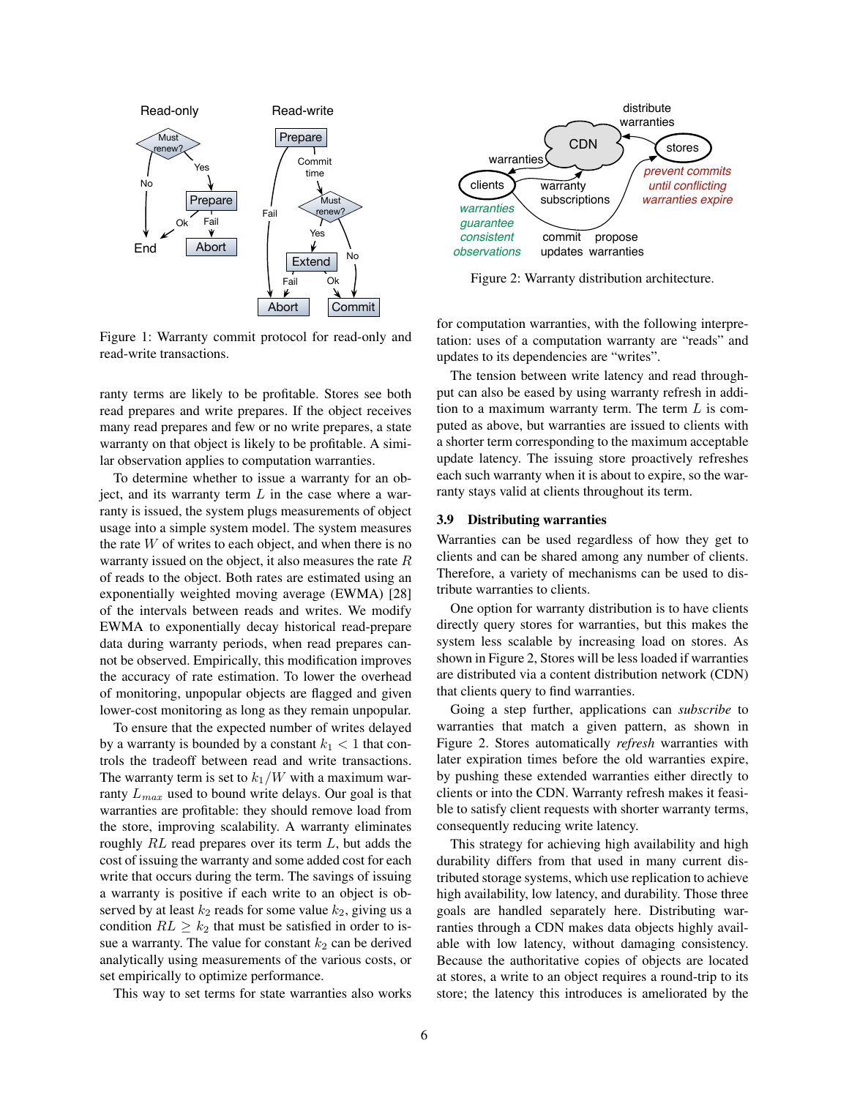

<span id="page-5-2"></span>Figure 1: Warranty commit protocol for read-only and read-write transactions.

ranty terms are likely to be profitable. Stores see both read prepares and write prepares. If the object receives many read prepares and few or no write prepares, a state warranty on that object is likely to be profitable. A similar observation applies to computation warranties.

To determine whether to issue a warranty for an object, and its warranty term  $L$  in the case where a warranty is issued, the system plugs measurements of object usage into a simple system model. The system measures the rate  $W$  of writes to each object, and when there is no warranty issued on the object, it also measures the rate R of reads to the object. Both rates are estimated using an exponentially weighted moving average (EWMA) [\[28\]](#page-13-10) of the intervals between reads and writes. We modify EWMA to exponentially decay historical read-prepare data during warranty periods, when read prepares cannot be observed. Empirically, this modification improves the accuracy of rate estimation. To lower the overhead of monitoring, unpopular objects are flagged and given lower-cost monitoring as long as they remain unpopular.

To ensure that the expected number of writes delayed by a warranty is bounded by a constant  $k_1 < 1$  that controls the tradeoff between read and write transactions. The warranty term is set to  $k_1/W$  with a maximum warranty  $L_{max}$  used to bound write delays. Our goal is that warranties are profitable: they should remove load from the store, improving scalability. A warranty eliminates roughly RL read prepares over its term L, but adds the cost of issuing the warranty and some added cost for each write that occurs during the term. The savings of issuing a warranty is positive if each write to an object is observed by at least  $k_2$  reads for some value  $k_2$ , giving us a condition  $RL \geq k_2$  that must be satisfied in order to issue a warranty. The value for constant  $k_2$  can be derived analytically using measurements of the various costs, or set empirically to optimize performance.

This way to set terms for state warranties also works



<span id="page-5-1"></span>Figure 2: Warranty distribution architecture.

for computation warranties, with the following interpretation: uses of a computation warranty are "reads" and updates to its dependencies are "writes".

The tension between write latency and read throughput can also be eased by using warranty refresh in addition to a maximum warranty term. The term  $L$  is computed as above, but warranties are issued to clients with a shorter term corresponding to the maximum acceptable update latency. The issuing store proactively refreshes each such warranty when it is about to expire, so the warranty stays valid at clients throughout its term.

#### <span id="page-5-0"></span>3.9 Distributing warranties

Warranties can be used regardless of how they get to clients and can be shared among any number of clients. Therefore, a variety of mechanisms can be used to distribute warranties to clients.

One option for warranty distribution is to have clients directly query stores for warranties, but this makes the system less scalable by increasing load on stores. As shown in Figure [2,](#page-5-1) Stores will be less loaded if warranties are distributed via a content distribution network (CDN) that clients query to find warranties.

Going a step further, applications can *subscribe* to warranties that match a given pattern, as shown in Figure [2.](#page-5-1) Stores automatically *refresh* warranties with later expiration times before the old warranties expire, by pushing these extended warranties either directly to clients or into the CDN. Warranty refresh makes it feasible to satisfy client requests with shorter warranty terms, consequently reducing write latency.

This strategy for achieving high availability and high durability differs from that used in many current distributed storage systems, which use replication to achieve high availability, low latency, and durability. Those three goals are handled separately here. Distributing warranties through a CDN makes data objects highly available with low latency, without damaging consistency. Because the authoritative copies of objects are located at stores, a write to an object requires a round-trip to its store; the latency this introduces is ameliorated by the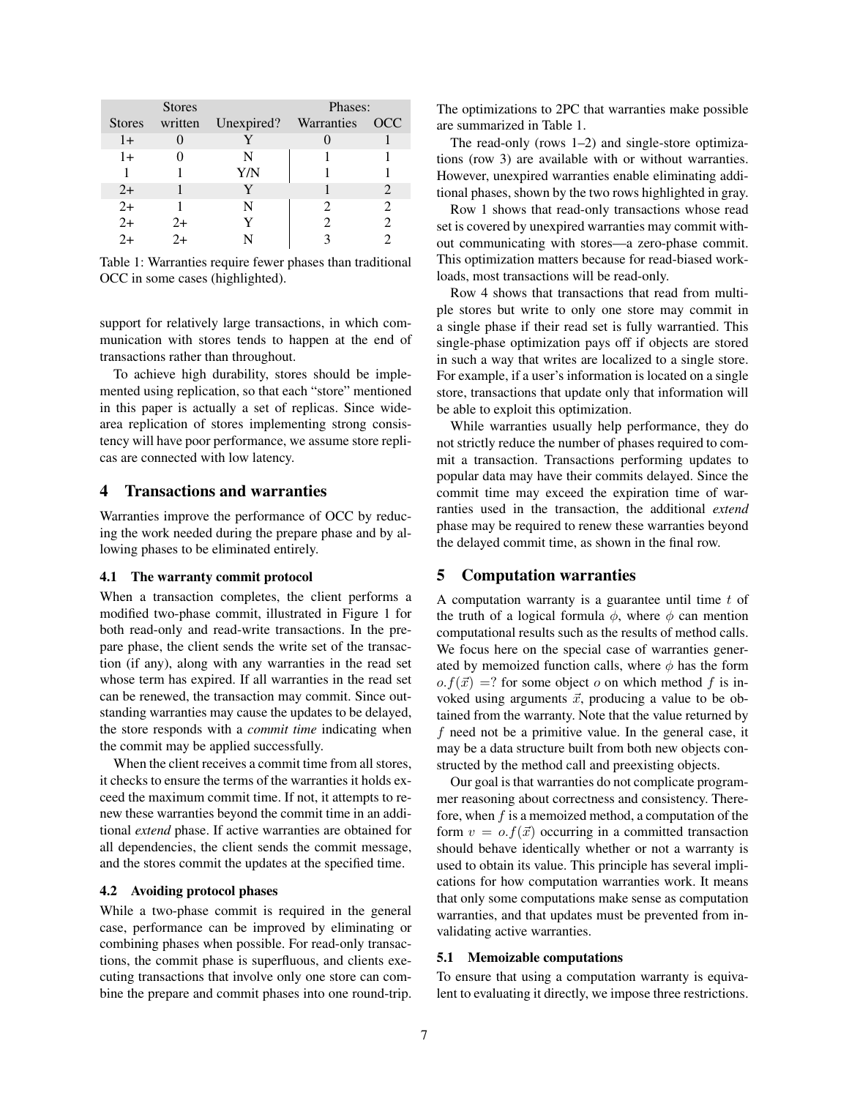| <b>Stores</b> |    |                    | Phases:        |   |
|---------------|----|--------------------|----------------|---|
| <b>Stores</b> |    | written Unexpired? | Warranties OCC |   |
| $1+$          |    |                    |                |   |
| $1+$          |    | N                  |                |   |
|               |    | Y/N                |                |   |
| $2+$          |    | Y                  |                | 2 |
| $2+$          |    |                    |                | 2 |
| $2+$          | 2+ |                    |                |   |
| $2+$          |    |                    |                |   |

<span id="page-6-2"></span>Table 1: Warranties require fewer phases than traditional OCC in some cases (highlighted).

support for relatively large transactions, in which communication with stores tends to happen at the end of transactions rather than throughout.

To achieve high durability, stores should be implemented using replication, so that each "store" mentioned in this paper is actually a set of replicas. Since widearea replication of stores implementing strong consistency will have poor performance, we assume store replicas are connected with low latency.

# <span id="page-6-0"></span>4 Transactions and warranties

Warranties improve the performance of OCC by reducing the work needed during the prepare phase and by allowing phases to be eliminated entirely.

#### 4.1 The warranty commit protocol

When a transaction completes, the client performs a modified two-phase commit, illustrated in Figure [1](#page-5-2) for both read-only and read-write transactions. In the prepare phase, the client sends the write set of the transaction (if any), along with any warranties in the read set whose term has expired. If all warranties in the read set can be renewed, the transaction may commit. Since outstanding warranties may cause the updates to be delayed, the store responds with a *commit time* indicating when the commit may be applied successfully.

When the client receives a commit time from all stores, it checks to ensure the terms of the warranties it holds exceed the maximum commit time. If not, it attempts to renew these warranties beyond the commit time in an additional *extend* phase. If active warranties are obtained for all dependencies, the client sends the commit message, and the stores commit the updates at the specified time.

### 4.2 Avoiding protocol phases

While a two-phase commit is required in the general case, performance can be improved by eliminating or combining phases when possible. For read-only transactions, the commit phase is superfluous, and clients executing transactions that involve only one store can combine the prepare and commit phases into one round-trip. The optimizations to 2PC that warranties make possible are summarized in Table [1.](#page-6-2)

The read-only (rows 1–2) and single-store optimizations (row 3) are available with or without warranties. However, unexpired warranties enable eliminating additional phases, shown by the two rows highlighted in gray.

Row 1 shows that read-only transactions whose read set is covered by unexpired warranties may commit without communicating with stores—a zero-phase commit. This optimization matters because for read-biased workloads, most transactions will be read-only.

Row 4 shows that transactions that read from multiple stores but write to only one store may commit in a single phase if their read set is fully warrantied. This single-phase optimization pays off if objects are stored in such a way that writes are localized to a single store. For example, if a user's information is located on a single store, transactions that update only that information will be able to exploit this optimization.

While warranties usually help performance, they do not strictly reduce the number of phases required to commit a transaction. Transactions performing updates to popular data may have their commits delayed. Since the commit time may exceed the expiration time of warranties used in the transaction, the additional *extend* phase may be required to renew these warranties beyond the delayed commit time, as shown in the final row.

# <span id="page-6-1"></span>5 Computation warranties

A computation warranty is a guarantee until time  $t$  of the truth of a logical formula  $\phi$ , where  $\phi$  can mention computational results such as the results of method calls. We focus here on the special case of warranties generated by memoized function calls, where  $\phi$  has the form  $o.f(\vec{x}) =?$  for some object o on which method f is invoked using arguments  $\vec{x}$ , producing a value to be obtained from the warranty. Note that the value returned by  $f$  need not be a primitive value. In the general case, it may be a data structure built from both new objects constructed by the method call and preexisting objects.

Our goal is that warranties do not complicate programmer reasoning about correctness and consistency. Therefore, when  $f$  is a memoized method, a computation of the form  $v = o.f(\vec{x})$  occurring in a committed transaction should behave identically whether or not a warranty is used to obtain its value. This principle has several implications for how computation warranties work. It means that only some computations make sense as computation warranties, and that updates must be prevented from invalidating active warranties.

# 5.1 Memoizable computations

To ensure that using a computation warranty is equivalent to evaluating it directly, we impose three restrictions.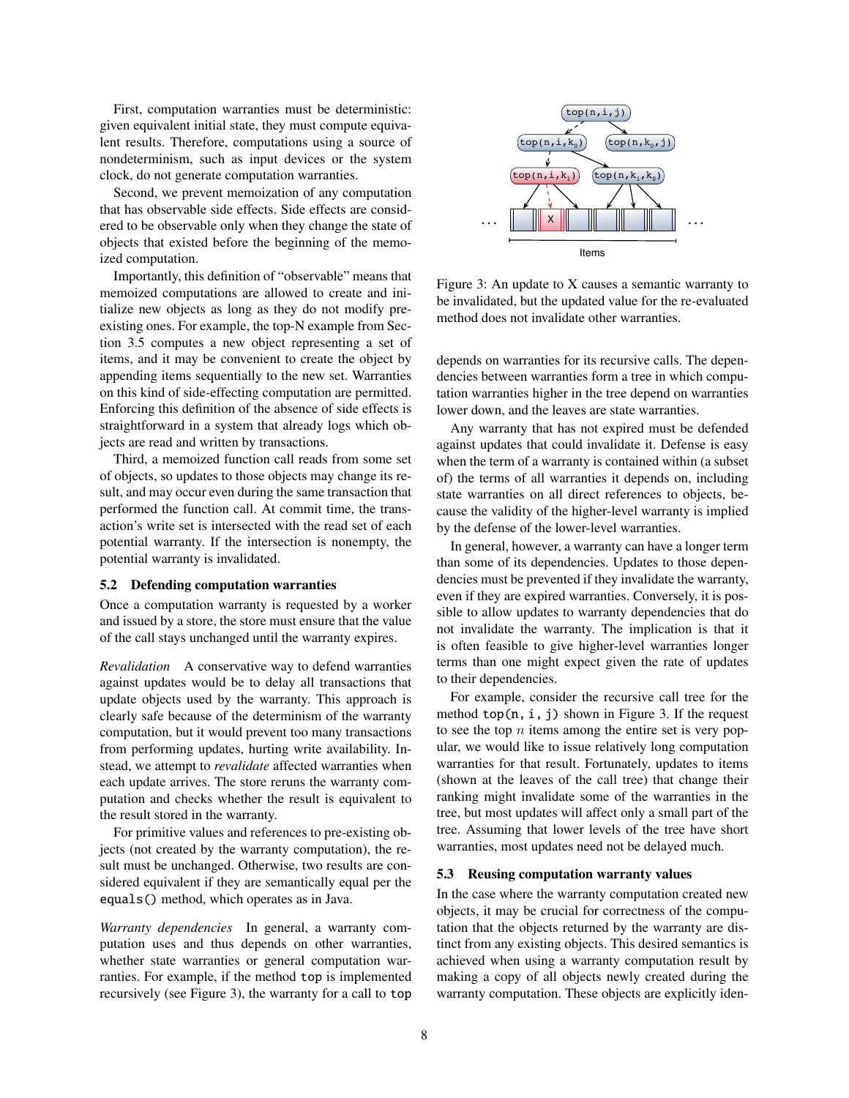First, computation warranties must be deterministic: given equivalent initial state, they must compute equivalent results. Therefore, computations using a source of nondeterminism, such as input devices or the system clock, do not generate computation warranties.

Second, we prevent memoization of any computation that has observable side effects. Side effects are considered to be observable only when they change the state of objects that existed before the beginning of the memoized computation.

Importantly, this definition of "observable" means that memoized computations are allowed to create and initialize new objects as long as they do not modify preexisting ones. For example, the top-N example from Section [3.5](#page-3-2) computes a new object representing a set of items, and it may be convenient to create the object by appending items sequentially to the new set. Warranties on this kind of side-effecting computation are permitted. Enforcing this definition of the absence of side effects is straightforward in a system that already logs which objects are read and written by transactions.

Third, a memoized function call reads from some set of objects, so updates to those objects may change its result, and may occur even during the same transaction that performed the function call. At commit time, the transaction's write set is intersected with the read set of each potential warranty. If the intersection is nonempty, the potential warranty is invalidated.

### <span id="page-7-0"></span>5.2 Defending computation warranties

Once a computation warranty is requested by a worker and issued by a store, the store must ensure that the value of the call stays unchanged until the warranty expires.

*Revalidation* A conservative way to defend warranties against updates would be to delay all transactions that update objects used by the warranty. This approach is clearly safe because of the determinism of the warranty computation, but it would prevent too many transactions from performing updates, hurting write availability. Instead, we attempt to *revalidate* affected warranties when each update arrives. The store reruns the warranty computation and checks whether the result is equivalent to the result stored in the warranty.

For primitive values and references to pre-existing objects (not created by the warranty computation), the result must be unchanged. Otherwise, two results are considered equivalent if they are semantically equal per the equals() method, which operates as in Java.

*Warranty dependencies* In general, a warranty computation uses and thus depends on other warranties, whether state warranties or general computation warranties. For example, if the method top is implemented recursively (see Figure [3\)](#page-7-1), the warranty for a call to top



<span id="page-7-1"></span>Figure 3: An update to X causes a semantic warranty to be invalidated, but the updated value for the re-evaluated method does not invalidate other warranties.

depends on warranties for its recursive calls. The dependencies between warranties form a tree in which computation warranties higher in the tree depend on warranties lower down, and the leaves are state warranties.

Any warranty that has not expired must be defended against updates that could invalidate it. Defense is easy when the term of a warranty is contained within (a subset of) the terms of all warranties it depends on, including state warranties on all direct references to objects, because the validity of the higher-level warranty is implied by the defense of the lower-level warranties.

In general, however, a warranty can have a longer term than some of its dependencies. Updates to those dependencies must be prevented if they invalidate the warranty, even if they are expired warranties. Conversely, it is possible to allow updates to warranty dependencies that do not invalidate the warranty. The implication is that it is often feasible to give higher-level warranties longer terms than one might expect given the rate of updates to their dependencies.

For example, consider the recursive call tree for the method top(n, i, j) shown in Figure [3.](#page-7-1) If the request to see the top  $n$  items among the entire set is very popular, we would like to issue relatively long computation warranties for that result. Fortunately, updates to items (shown at the leaves of the call tree) that change their ranking might invalidate some of the warranties in the tree, but most updates will affect only a small part of the tree. Assuming that lower levels of the tree have short warranties, most updates need not be delayed much.

#### 5.3 Reusing computation warranty values

In the case where the warranty computation created new objects, it may be crucial for correctness of the computation that the objects returned by the warranty are distinct from any existing objects. This desired semantics is achieved when using a warranty computation result by making a copy of all objects newly created during the warranty computation. These objects are explicitly iden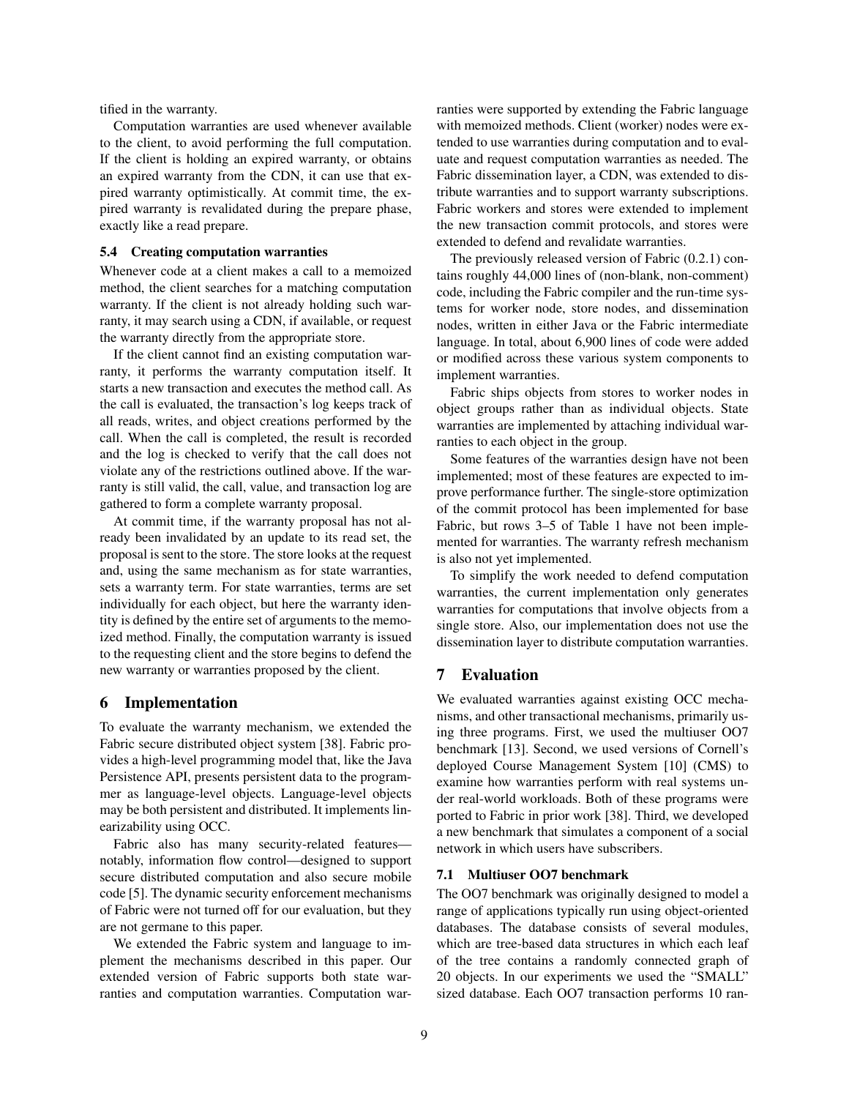tified in the warranty.

Computation warranties are used whenever available to the client, to avoid performing the full computation. If the client is holding an expired warranty, or obtains an expired warranty from the CDN, it can use that expired warranty optimistically. At commit time, the expired warranty is revalidated during the prepare phase, exactly like a read prepare.

# 5.4 Creating computation warranties

Whenever code at a client makes a call to a memoized method, the client searches for a matching computation warranty. If the client is not already holding such warranty, it may search using a CDN, if available, or request the warranty directly from the appropriate store.

If the client cannot find an existing computation warranty, it performs the warranty computation itself. It starts a new transaction and executes the method call. As the call is evaluated, the transaction's log keeps track of all reads, writes, and object creations performed by the call. When the call is completed, the result is recorded and the log is checked to verify that the call does not violate any of the restrictions outlined above. If the warranty is still valid, the call, value, and transaction log are gathered to form a complete warranty proposal.

At commit time, if the warranty proposal has not already been invalidated by an update to its read set, the proposal is sent to the store. The store looks at the request and, using the same mechanism as for state warranties, sets a warranty term. For state warranties, terms are set individually for each object, but here the warranty identity is defined by the entire set of arguments to the memoized method. Finally, the computation warranty is issued to the requesting client and the store begins to defend the new warranty or warranties proposed by the client.

# <span id="page-8-0"></span>6 Implementation

To evaluate the warranty mechanism, we extended the Fabric secure distributed object system [\[38\]](#page-13-11). Fabric provides a high-level programming model that, like the Java Persistence API, presents persistent data to the programmer as language-level objects. Language-level objects may be both persistent and distributed. It implements linearizability using OCC.

Fabric also has many security-related features notably, information flow control—designed to support secure distributed computation and also secure mobile code [\[5\]](#page-12-4). The dynamic security enforcement mechanisms of Fabric were not turned off for our evaluation, but they are not germane to this paper.

We extended the Fabric system and language to implement the mechanisms described in this paper. Our extended version of Fabric supports both state warranties and computation warranties. Computation warranties were supported by extending the Fabric language with memoized methods. Client (worker) nodes were extended to use warranties during computation and to evaluate and request computation warranties as needed. The Fabric dissemination layer, a CDN, was extended to distribute warranties and to support warranty subscriptions. Fabric workers and stores were extended to implement the new transaction commit protocols, and stores were extended to defend and revalidate warranties.

The previously released version of Fabric (0.2.1) contains roughly 44,000 lines of (non-blank, non-comment) code, including the Fabric compiler and the run-time systems for worker node, store nodes, and dissemination nodes, written in either Java or the Fabric intermediate language. In total, about 6,900 lines of code were added or modified across these various system components to implement warranties.

Fabric ships objects from stores to worker nodes in object groups rather than as individual objects. State warranties are implemented by attaching individual warranties to each object in the group.

Some features of the warranties design have not been implemented; most of these features are expected to improve performance further. The single-store optimization of the commit protocol has been implemented for base Fabric, but rows 3–5 of Table [1](#page-6-2) have not been implemented for warranties. The warranty refresh mechanism is also not yet implemented.

To simplify the work needed to defend computation warranties, the current implementation only generates warranties for computations that involve objects from a single store. Also, our implementation does not use the dissemination layer to distribute computation warranties.

# <span id="page-8-1"></span>7 Evaluation

We evaluated warranties against existing OCC mechanisms, and other transactional mechanisms, primarily using three programs. First, we used the multiuser OO7 benchmark [\[13\]](#page-13-12). Second, we used versions of Cornell's deployed Course Management System [\[10\]](#page-12-5) (CMS) to examine how warranties perform with real systems under real-world workloads. Both of these programs were ported to Fabric in prior work [\[38\]](#page-13-11). Third, we developed a new benchmark that simulates a component of a social network in which users have subscribers.

### 7.1 Multiuser OO7 benchmark

The OO7 benchmark was originally designed to model a range of applications typically run using object-oriented databases. The database consists of several modules, which are tree-based data structures in which each leaf of the tree contains a randomly connected graph of 20 objects. In our experiments we used the "SMALL" sized database. Each OO7 transaction performs 10 ran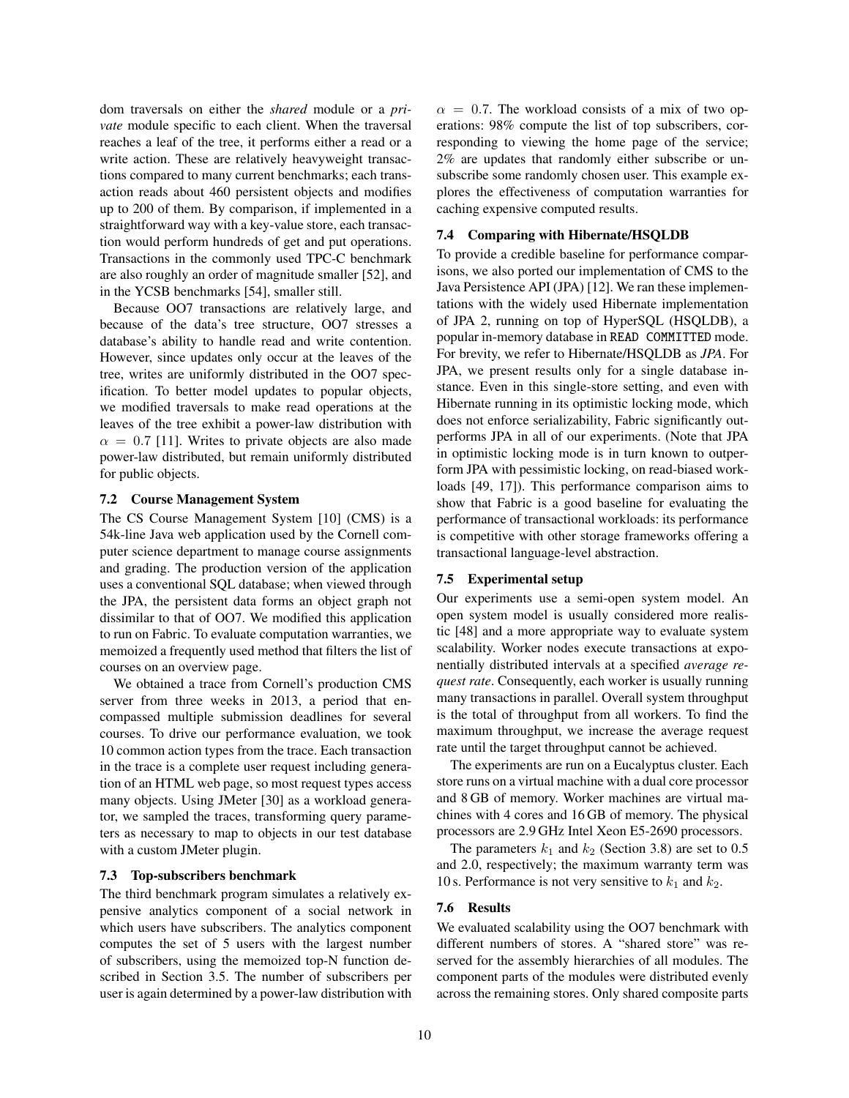dom traversals on either the *shared* module or a *private* module specific to each client. When the traversal reaches a leaf of the tree, it performs either a read or a write action. These are relatively heavyweight transactions compared to many current benchmarks; each transaction reads about 460 persistent objects and modifies up to 200 of them. By comparison, if implemented in a straightforward way with a key-value store, each transaction would perform hundreds of get and put operations. Transactions in the commonly used TPC-C benchmark are also roughly an order of magnitude smaller [\[52\]](#page-14-6), and in the YCSB benchmarks [\[54\]](#page-14-7), smaller still.

Because OO7 transactions are relatively large, and because of the data's tree structure, OO7 stresses a database's ability to handle read and write contention. However, since updates only occur at the leaves of the tree, writes are uniformly distributed in the OO7 specification. To better model updates to popular objects, we modified traversals to make read operations at the leaves of the tree exhibit a power-law distribution with  $\alpha = 0.7$  [\[11\]](#page-12-6). Writes to private objects are also made power-law distributed, but remain uniformly distributed for public objects.

#### 7.2 Course Management System

The CS Course Management System [\[10\]](#page-12-5) (CMS) is a 54k-line Java web application used by the Cornell computer science department to manage course assignments and grading. The production version of the application uses a conventional SQL database; when viewed through the JPA, the persistent data forms an object graph not dissimilar to that of OO7. We modified this application to run on Fabric. To evaluate computation warranties, we memoized a frequently used method that filters the list of courses on an overview page.

We obtained a trace from Cornell's production CMS server from three weeks in 2013, a period that encompassed multiple submission deadlines for several courses. To drive our performance evaluation, we took 10 common action types from the trace. Each transaction in the trace is a complete user request including generation of an HTML web page, so most request types access many objects. Using JMeter [\[30\]](#page-13-13) as a workload generator, we sampled the traces, transforming query parameters as necessary to map to objects in our test database with a custom JMeter plugin.

# 7.3 Top-subscribers benchmark

The third benchmark program simulates a relatively expensive analytics component of a social network in which users have subscribers. The analytics component computes the set of 5 users with the largest number of subscribers, using the memoized top-N function described in Section [3.5.](#page-3-2) The number of subscribers per user is again determined by a power-law distribution with  $\alpha = 0.7$ . The workload consists of a mix of two operations: 98% compute the list of top subscribers, corresponding to viewing the home page of the service; 2% are updates that randomly either subscribe or unsubscribe some randomly chosen user. This example explores the effectiveness of computation warranties for caching expensive computed results.

# 7.4 Comparing with Hibernate/HSQLDB

To provide a credible baseline for performance comparisons, we also ported our implementation of CMS to the Java Persistence API (JPA) [\[12\]](#page-12-2). We ran these implementations with the widely used Hibernate implementation of JPA 2, running on top of HyperSQL (HSQLDB), a popular in-memory database in READ COMMITTED mode. For brevity, we refer to Hibernate/HSQLDB as *JPA*. For JPA, we present results only for a single database instance. Even in this single-store setting, and even with Hibernate running in its optimistic locking mode, which does not enforce serializability, Fabric significantly outperforms JPA in all of our experiments. (Note that JPA in optimistic locking mode is in turn known to outperform JPA with pessimistic locking, on read-biased workloads [\[49,](#page-14-8) [17\]](#page-13-14)). This performance comparison aims to show that Fabric is a good baseline for evaluating the performance of transactional workloads: its performance is competitive with other storage frameworks offering a transactional language-level abstraction.

### 7.5 Experimental setup

Our experiments use a semi-open system model. An open system model is usually considered more realistic [\[48\]](#page-14-9) and a more appropriate way to evaluate system scalability. Worker nodes execute transactions at exponentially distributed intervals at a specified *average request rate*. Consequently, each worker is usually running many transactions in parallel. Overall system throughput is the total of throughput from all workers. To find the maximum throughput, we increase the average request rate until the target throughput cannot be achieved.

The experiments are run on a Eucalyptus cluster. Each store runs on a virtual machine with a dual core processor and 8 GB of memory. Worker machines are virtual machines with 4 cores and 16 GB of memory. The physical processors are 2.9 GHz Intel Xeon E5-2690 processors.

The parameters  $k_1$  and  $k_2$  (Section [3.8\)](#page-4-1) are set to 0.5 and 2.0, respectively; the maximum warranty term was 10 s. Performance is not very sensitive to  $k_1$  and  $k_2$ .

# 7.6 Results

We evaluated scalability using the OO7 benchmark with different numbers of stores. A "shared store" was reserved for the assembly hierarchies of all modules. The component parts of the modules were distributed evenly across the remaining stores. Only shared composite parts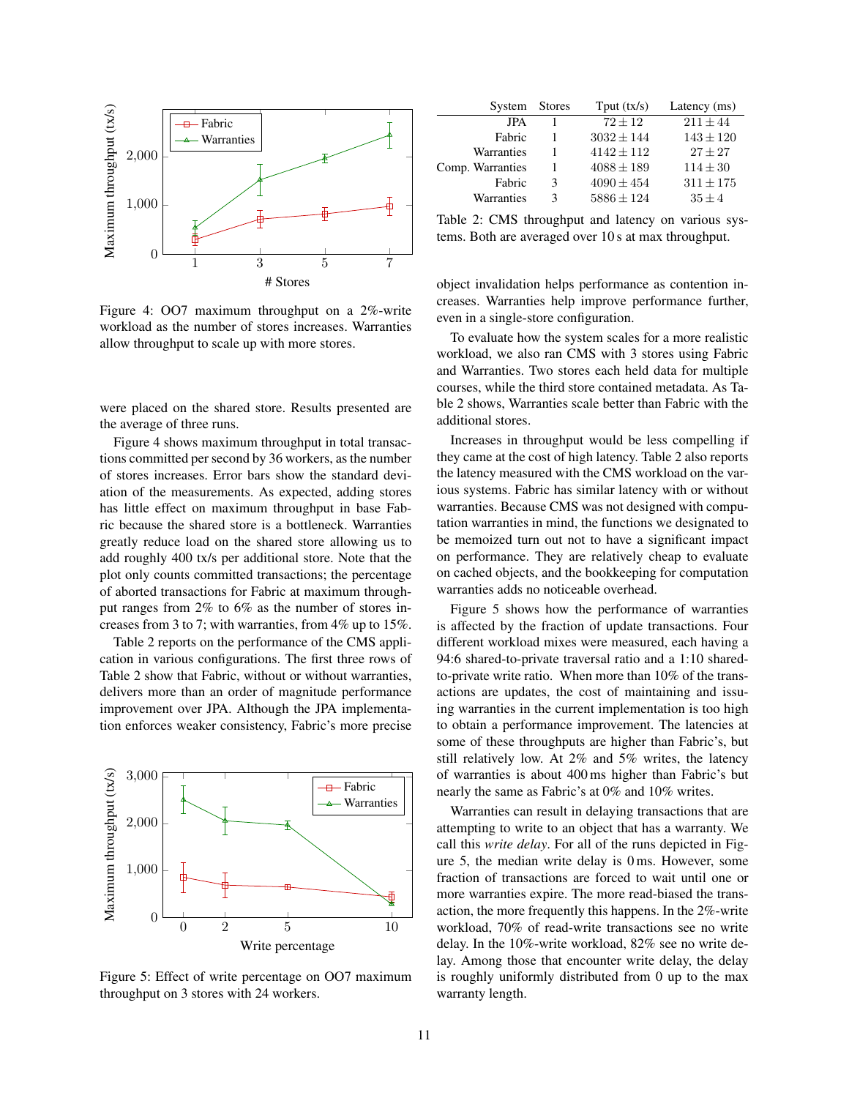

<span id="page-10-0"></span>Figure 4: OO7 maximum throughput on a 2%-write workload as the number of stores increases. Warranties allow throughput to scale up with more stores.

were placed on the shared store. Results presented are the average of three runs.

Figure [4](#page-10-0) shows maximum throughput in total transactions committed per second by 36 workers, as the number of stores increases. Error bars show the standard deviation of the measurements. As expected, adding stores has little effect on maximum throughput in base Fabric because the shared store is a bottleneck. Warranties greatly reduce load on the shared store allowing us to add roughly 400 tx/s per additional store. Note that the plot only counts committed transactions; the percentage of aborted transactions for Fabric at maximum throughput ranges from 2% to 6% as the number of stores increases from 3 to 7; with warranties, from 4% up to 15%.

Table [2](#page-10-1) reports on the performance of the CMS application in various configurations. The first three rows of Table [2](#page-10-1) show that Fabric, without or without warranties, delivers more than an order of magnitude performance improvement over JPA. Although the JPA implementation enforces weaker consistency, Fabric's more precise



<span id="page-10-2"></span>Figure 5: Effect of write percentage on OO7 maximum throughput on 3 stores with 24 workers.

| System           | <b>Stores</b> | Tput $(tx/s)$  | Latency (ms)  |
|------------------|---------------|----------------|---------------|
| <b>JPA</b>       |               | $72 + 12$      | $211 + 44$    |
| Fabric           |               | $3032 \pm 144$ | $143 \pm 120$ |
| Warranties       |               | $4142 + 112$   | $27 + 27$     |
| Comp. Warranties |               | $4088 \pm 189$ | $114 \pm 30$  |
| Fabric           | 3             | $4090 \pm 454$ | $311 \pm 175$ |
| Warranties       | 3             | $5886 \pm 124$ | $35 + 4$      |

<span id="page-10-1"></span>Table 2: CMS throughput and latency on various systems. Both are averaged over 10 s at max throughput.

object invalidation helps performance as contention increases. Warranties help improve performance further, even in a single-store configuration.

To evaluate how the system scales for a more realistic workload, we also ran CMS with 3 stores using Fabric and Warranties. Two stores each held data for multiple courses, while the third store contained metadata. As Table [2](#page-10-1) shows, Warranties scale better than Fabric with the additional stores.

Increases in throughput would be less compelling if they came at the cost of high latency. Table [2](#page-10-1) also reports the latency measured with the CMS workload on the various systems. Fabric has similar latency with or without warranties. Because CMS was not designed with computation warranties in mind, the functions we designated to be memoized turn out not to have a significant impact on performance. They are relatively cheap to evaluate on cached objects, and the bookkeeping for computation warranties adds no noticeable overhead.

Figure [5](#page-10-2) shows how the performance of warranties is affected by the fraction of update transactions. Four different workload mixes were measured, each having a 94:6 shared-to-private traversal ratio and a 1:10 sharedto-private write ratio. When more than 10% of the transactions are updates, the cost of maintaining and issuing warranties in the current implementation is too high to obtain a performance improvement. The latencies at some of these throughputs are higher than Fabric's, but still relatively low. At 2% and 5% writes, the latency of warranties is about 400 ms higher than Fabric's but nearly the same as Fabric's at 0% and 10% writes.

Warranties can result in delaying transactions that are attempting to write to an object that has a warranty. We call this *write delay*. For all of the runs depicted in Figure [5,](#page-10-2) the median write delay is 0 ms. However, some fraction of transactions are forced to wait until one or more warranties expire. The more read-biased the transaction, the more frequently this happens. In the 2%-write workload, 70% of read-write transactions see no write delay. In the 10%-write workload, 82% see no write delay. Among those that encounter write delay, the delay is roughly uniformly distributed from 0 up to the max warranty length.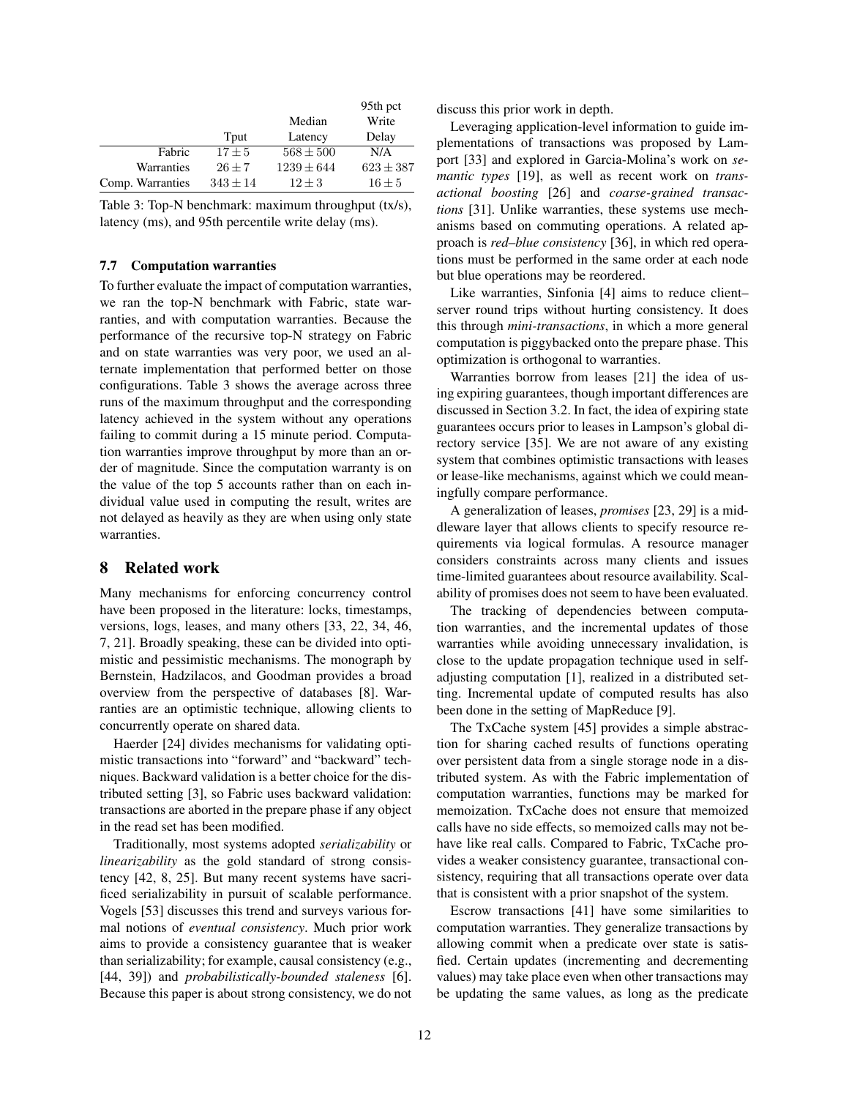|                  |              |                | 95th pct      |
|------------------|--------------|----------------|---------------|
|                  |              | Median         | Write         |
|                  | Tput         | Latency        | Delay         |
| Fabric           | $17 + 5$     | $568 \pm 500$  | N/A           |
| Warranties       | $26 + 7$     | $1239 \pm 644$ | $623 \pm 387$ |
| Comp. Warranties | $343 \pm 14$ | $12 + 3$       | $16 \pm 5$    |

<span id="page-11-1"></span>Table 3: Top-N benchmark: maximum throughput (tx/s), latency (ms), and 95th percentile write delay (ms).

### 7.7 Computation warranties

To further evaluate the impact of computation warranties, we ran the top-N benchmark with Fabric, state warranties, and with computation warranties. Because the performance of the recursive top-N strategy on Fabric and on state warranties was very poor, we used an alternate implementation that performed better on those configurations. Table [3](#page-11-1) shows the average across three runs of the maximum throughput and the corresponding latency achieved in the system without any operations failing to commit during a 15 minute period. Computation warranties improve throughput by more than an order of magnitude. Since the computation warranty is on the value of the top 5 accounts rather than on each individual value used in computing the result, writes are not delayed as heavily as they are when using only state warranties.

# <span id="page-11-0"></span>8 Related work

Many mechanisms for enforcing concurrency control have been proposed in the literature: locks, timestamps, versions, logs, leases, and many others [\[33,](#page-13-15) [22,](#page-13-16) [34,](#page-13-17) [46,](#page-14-10) [7,](#page-12-7) [21\]](#page-13-0). Broadly speaking, these can be divided into optimistic and pessimistic mechanisms. The monograph by Bernstein, Hadzilacos, and Goodman provides a broad overview from the perspective of databases [\[8\]](#page-12-1). Warranties are an optimistic technique, allowing clients to concurrently operate on shared data.

Haerder [\[24\]](#page-13-18) divides mechanisms for validating optimistic transactions into "forward" and "backward" techniques. Backward validation is a better choice for the distributed setting [\[3\]](#page-12-8), so Fabric uses backward validation: transactions are aborted in the prepare phase if any object in the read set has been modified.

Traditionally, most systems adopted *serializability* or *linearizability* as the gold standard of strong consistency [\[42,](#page-14-0) [8,](#page-12-1) [25\]](#page-13-3). But many recent systems have sacrificed serializability in pursuit of scalable performance. Vogels [\[53\]](#page-14-11) discusses this trend and surveys various formal notions of *eventual consistency*. Much prior work aims to provide a consistency guarantee that is weaker than serializability; for example, causal consistency (e.g., [\[44,](#page-14-12) [39\]](#page-14-13)) and *probabilistically-bounded staleness* [\[6\]](#page-12-9). Because this paper is about strong consistency, we do not discuss this prior work in depth.

Leveraging application-level information to guide implementations of transactions was proposed by Lamport [\[33\]](#page-13-15) and explored in Garcia-Molina's work on *semantic types* [\[19\]](#page-13-19), as well as recent work on *transactional boosting* [\[26\]](#page-13-20) and *coarse-grained transactions* [\[31\]](#page-13-21). Unlike warranties, these systems use mechanisms based on commuting operations. A related approach is *red–blue consistency* [\[36\]](#page-13-22), in which red operations must be performed in the same order at each node but blue operations may be reordered.

Like warranties, Sinfonia [\[4\]](#page-12-10) aims to reduce client– server round trips without hurting consistency. It does this through *mini-transactions*, in which a more general computation is piggybacked onto the prepare phase. This optimization is orthogonal to warranties.

Warranties borrow from leases [\[21\]](#page-13-0) the idea of using expiring guarantees, though important differences are discussed in Section [3.2.](#page-2-1) In fact, the idea of expiring state guarantees occurs prior to leases in Lampson's global directory service [\[35\]](#page-13-23). We are not aware of any existing system that combines optimistic transactions with leases or lease-like mechanisms, against which we could meaningfully compare performance.

A generalization of leases, *promises* [\[23,](#page-13-24) [29\]](#page-13-25) is a middleware layer that allows clients to specify resource requirements via logical formulas. A resource manager considers constraints across many clients and issues time-limited guarantees about resource availability. Scalability of promises does not seem to have been evaluated.

The tracking of dependencies between computation warranties, and the incremental updates of those warranties while avoiding unnecessary invalidation, is close to the update propagation technique used in selfadjusting computation [\[1\]](#page-12-11), realized in a distributed setting. Incremental update of computed results has also been done in the setting of MapReduce [\[9\]](#page-12-12).

The TxCache system [\[45\]](#page-14-14) provides a simple abstraction for sharing cached results of functions operating over persistent data from a single storage node in a distributed system. As with the Fabric implementation of computation warranties, functions may be marked for memoization. TxCache does not ensure that memoized calls have no side effects, so memoized calls may not behave like real calls. Compared to Fabric, TxCache provides a weaker consistency guarantee, transactional consistency, requiring that all transactions operate over data that is consistent with a prior snapshot of the system.

Escrow transactions [\[41\]](#page-14-15) have some similarities to computation warranties. They generalize transactions by allowing commit when a predicate over state is satisfied. Certain updates (incrementing and decrementing values) may take place even when other transactions may be updating the same values, as long as the predicate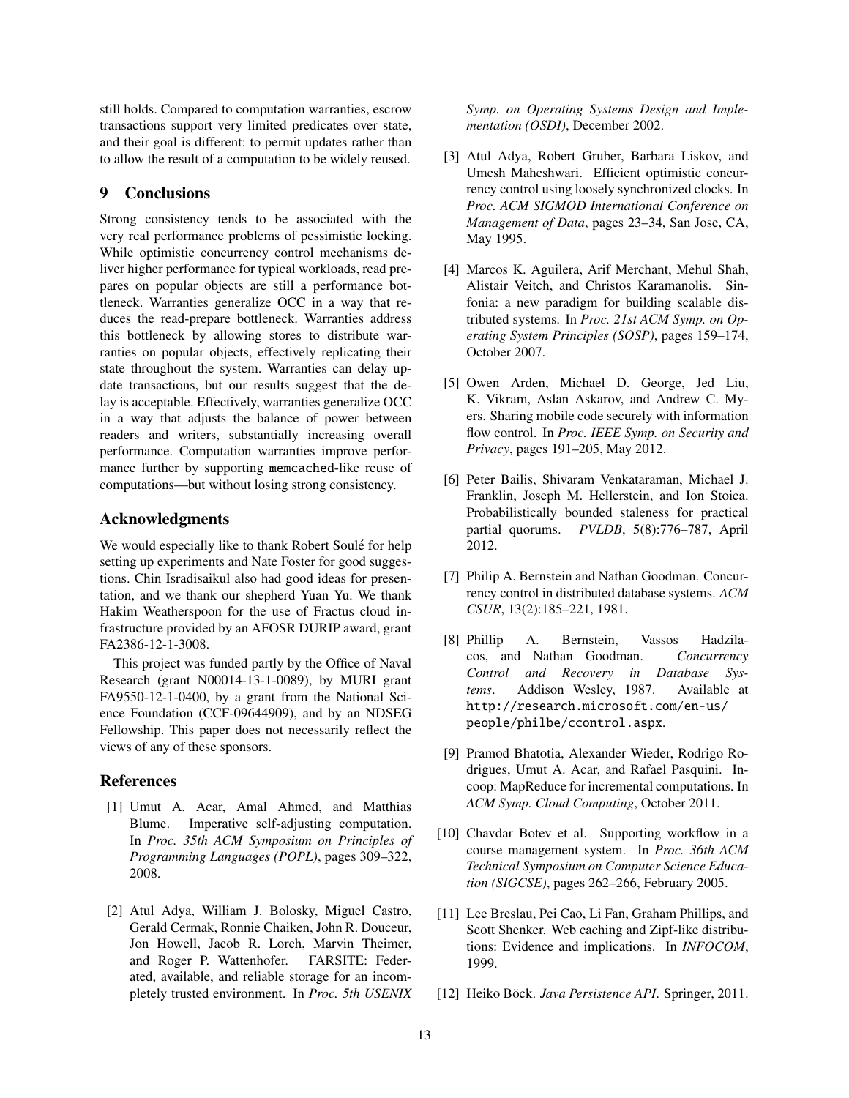still holds. Compared to computation warranties, escrow transactions support very limited predicates over state, and their goal is different: to permit updates rather than to allow the result of a computation to be widely reused.

# <span id="page-12-0"></span>9 Conclusions

Strong consistency tends to be associated with the very real performance problems of pessimistic locking. While optimistic concurrency control mechanisms deliver higher performance for typical workloads, read prepares on popular objects are still a performance bottleneck. Warranties generalize OCC in a way that reduces the read-prepare bottleneck. Warranties address this bottleneck by allowing stores to distribute warranties on popular objects, effectively replicating their state throughout the system. Warranties can delay update transactions, but our results suggest that the delay is acceptable. Effectively, warranties generalize OCC in a way that adjusts the balance of power between readers and writers, substantially increasing overall performance. Computation warranties improve performance further by supporting memcached-like reuse of computations—but without losing strong consistency.

# Acknowledgments

We would especially like to thank Robert Soule for help setting up experiments and Nate Foster for good suggestions. Chin Isradisaikul also had good ideas for presentation, and we thank our shepherd Yuan Yu. We thank Hakim Weatherspoon for the use of Fractus cloud infrastructure provided by an AFOSR DURIP award, grant FA2386-12-1-3008.

This project was funded partly by the Office of Naval Research (grant N00014-13-1-0089), by MURI grant FA9550-12-1-0400, by a grant from the National Science Foundation (CCF-09644909), and by an NDSEG Fellowship. This paper does not necessarily reflect the views of any of these sponsors.

# <span id="page-12-11"></span>**References**

- [1] Umut A. Acar, Amal Ahmed, and Matthias Blume. Imperative self-adjusting computation. In *Proc. 35th ACM Symposium on Principles of Programming Languages (POPL)*, pages 309–322, 2008.
- <span id="page-12-3"></span>[2] Atul Adya, William J. Bolosky, Miguel Castro, Gerald Cermak, Ronnie Chaiken, John R. Douceur, Jon Howell, Jacob R. Lorch, Marvin Theimer, and Roger P. Wattenhofer. FARSITE: Federated, available, and reliable storage for an incompletely trusted environment. In *Proc. 5th USENIX*

*Symp. on Operating Systems Design and Implementation (OSDI)*, December 2002.

- <span id="page-12-8"></span>[3] Atul Adya, Robert Gruber, Barbara Liskov, and Umesh Maheshwari. Efficient optimistic concurrency control using loosely synchronized clocks. In *Proc. ACM SIGMOD International Conference on Management of Data*, pages 23–34, San Jose, CA, May 1995.
- <span id="page-12-10"></span>[4] Marcos K. Aguilera, Arif Merchant, Mehul Shah, Alistair Veitch, and Christos Karamanolis. Sinfonia: a new paradigm for building scalable distributed systems. In *Proc. 21st ACM Symp. on Operating System Principles (SOSP)*, pages 159–174, October 2007.
- <span id="page-12-4"></span>[5] [Owen Arden, Michael D. George, Jed Liu,](http://www.cs.cornell.edu/andru/papers/mobile.html) [K. Vikram, Aslan Askarov, and Andrew C. My](http://www.cs.cornell.edu/andru/papers/mobile.html)[ers. Sharing mobile code securely with information](http://www.cs.cornell.edu/andru/papers/mobile.html) flow control. In *[Proc. IEEE Symp. on Security and](http://www.cs.cornell.edu/andru/papers/mobile.html) Privacy*[, pages 191–205, May 2012.](http://www.cs.cornell.edu/andru/papers/mobile.html)
- <span id="page-12-9"></span>[6] Peter Bailis, Shivaram Venkataraman, Michael J. Franklin, Joseph M. Hellerstein, and Ion Stoica. Probabilistically bounded staleness for practical partial quorums. *PVLDB*, 5(8):776–787, April 2012.
- <span id="page-12-7"></span>[7] Philip A. Bernstein and Nathan Goodman. Concurrency control in distributed database systems. *ACM CSUR*, 13(2):185–221, 1981.
- <span id="page-12-1"></span>[8] [Phillip A. Bernstein, Vassos Hadzila](http://research.microsoft.com/en-us/people/philbe/ccontrol.aspx)[cos, and Nathan Goodman.](http://research.microsoft.com/en-us/people/philbe/ccontrol.aspx) *Concurrency [Control and Recovery in Database Sys](http://research.microsoft.com/en-us/people/philbe/ccontrol.aspx)tems*[. Addison Wesley, 1987. Available at](http://research.microsoft.com/en-us/people/philbe/ccontrol.aspx) [http://research.microsoft.com/en-us/](http://research.microsoft.com/en-us/people/philbe/ccontrol.aspx) [people/philbe/ccontrol.aspx](http://research.microsoft.com/en-us/people/philbe/ccontrol.aspx).
- <span id="page-12-12"></span>[9] Pramod Bhatotia, Alexander Wieder, Rodrigo Rodrigues, Umut A. Acar, and Rafael Pasquini. Incoop: MapReduce for incremental computations. In *ACM Symp. Cloud Computing*, October 2011.
- <span id="page-12-5"></span>[10] Chavdar Botev et al. Supporting workflow in a course management system. In *Proc. 36th ACM Technical Symposium on Computer Science Education (SIGCSE)*, pages 262–266, February 2005.
- <span id="page-12-6"></span>[11] Lee Breslau, Pei Cao, Li Fan, Graham Phillips, and Scott Shenker. Web caching and Zipf-like distributions: Evidence and implications. In *INFOCOM*, 1999.
- <span id="page-12-2"></span>[12] Heiko Böck. Java Persistence API. Springer, 2011.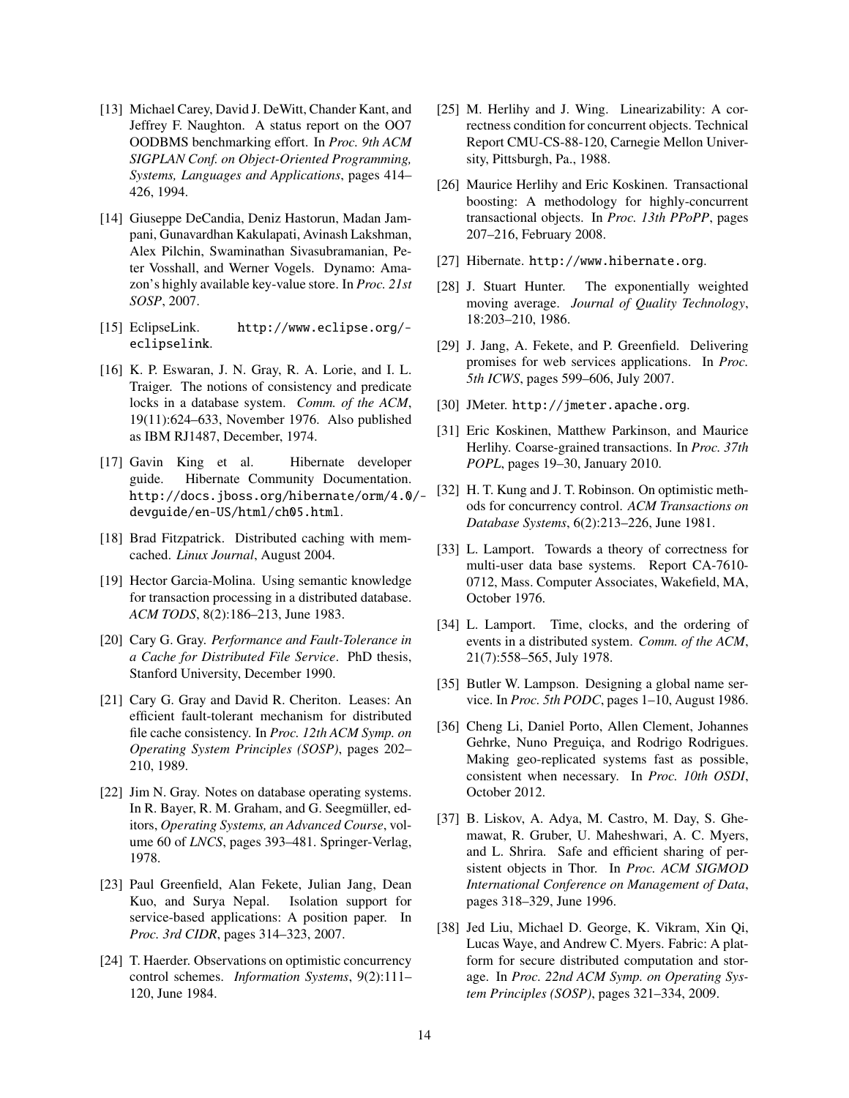- <span id="page-13-12"></span>[13] Michael Carey, David J. DeWitt, Chander Kant, and Jeffrey F. Naughton. A status report on the OO7 OODBMS benchmarking effort. In *Proc. 9th ACM SIGPLAN Conf. on Object-Oriented Programming, Systems, Languages and Applications*, pages 414– 426, 1994.
- <span id="page-13-8"></span>[14] Giuseppe DeCandia, Deniz Hastorun, Madan Jampani, Gunavardhan Kakulapati, Avinash Lakshman, Alex Pilchin, Swaminathan Sivasubramanian, Peter Vosshall, and Werner Vogels. Dynamo: Amazon's highly available key-value store. In *Proc. 21st SOSP*, 2007.
- <span id="page-13-5"></span>[15] EclipseLink. [http://www.eclipse.org/](http://www.eclipse.org/eclipselink) [eclipselink](http://www.eclipse.org/eclipselink).
- <span id="page-13-1"></span>[16] K. P. Eswaran, J. N. Gray, R. A. Lorie, and I. L. Traiger. The notions of consistency and predicate locks in a database system. *Comm. of the ACM*, 19(11):624–633, November 1976. Also published as IBM RJ1487, December, 1974.
- <span id="page-13-14"></span>[17] [Gavin King et al. Hibernate developer](http://docs.jboss.org/hibernate/orm/4.0/devguide/en-US/html/ch05.html) [guide. Hibernate Community Documentation.](http://docs.jboss.org/hibernate/orm/4.0/devguide/en-US/html/ch05.html) [http://docs.jboss.org/hibernate/orm/4.0/](http://docs.jboss.org/hibernate/orm/4.0/devguide/en-US/html/ch05.html) [devguide/en-US/html/ch05.html](http://docs.jboss.org/hibernate/orm/4.0/devguide/en-US/html/ch05.html).
- <span id="page-13-9"></span>[18] [Brad Fitzpatrick. Distributed caching with mem](http://www.linuxjournal.com/article/7451)cached. *Linux Journal*[, August 2004.](http://www.linuxjournal.com/article/7451)
- <span id="page-13-19"></span>[19] [Hector Garcia-Molina. Using semantic knowledge](http://dl.acm.org/citation.cfm?id=319985) [for transaction processing in a distributed database.](http://dl.acm.org/citation.cfm?id=319985) *ACM TODS*[, 8\(2\):186–213, June 1983.](http://dl.acm.org/citation.cfm?id=319985)
- <span id="page-13-7"></span>[20] Cary G. Gray. *[Performance and Fault-Tolerance in](http://oai.dtic.mil/oai/oai?verb=getRecord&metadataPrefix=html&identifier=ADA326582) [a Cache for Distributed File Service](http://oai.dtic.mil/oai/oai?verb=getRecord&metadataPrefix=html&identifier=ADA326582)*. PhD thesis, [Stanford University, December 1990.](http://oai.dtic.mil/oai/oai?verb=getRecord&metadataPrefix=html&identifier=ADA326582)
- <span id="page-13-0"></span>[21] [Cary G. Gray and David R. Cheriton. Leases: An](http://dl.acm.org/citation.cfm?id=74870) [efficient fault-tolerant mechanism for distributed](http://dl.acm.org/citation.cfm?id=74870) file cache consistency. In *[Proc. 12th ACM Symp. on](http://dl.acm.org/citation.cfm?id=74870) [Operating System Principles \(SOSP\)](http://dl.acm.org/citation.cfm?id=74870)*, pages 202– [210, 1989.](http://dl.acm.org/citation.cfm?id=74870)
- <span id="page-13-16"></span>[22] Jim N. Gray. Notes on database operating systems. In R. Bayer, R. M. Graham, and G. Seegmüller, editors, *Operating Systems, an Advanced Course*, volume 60 of *LNCS*, pages 393–481. Springer-Verlag, 1978.
- <span id="page-13-24"></span>[23] [Paul Greenfield, Alan Fekete, Julian Jang, Dean](http://www.cidrdb.org/cidr2007/papers/cidr07p36.pdf) [Kuo, and Surya Nepal. Isolation support for](http://www.cidrdb.org/cidr2007/papers/cidr07p36.pdf) [service-based applications: A position paper. In](http://www.cidrdb.org/cidr2007/papers/cidr07p36.pdf) *Proc. 3rd CIDR*[, pages 314–323, 2007.](http://www.cidrdb.org/cidr2007/papers/cidr07p36.pdf)
- <span id="page-13-18"></span>[24] T. Haerder. Observations on optimistic concurrency control schemes. *Information Systems*, 9(2):111– 120, June 1984.
- <span id="page-13-3"></span>[25] M. Herlihy and J. Wing. Linearizability: A correctness condition for concurrent objects. Technical Report CMU-CS-88-120, Carnegie Mellon University, Pittsburgh, Pa., 1988.
- <span id="page-13-20"></span>[26] [Maurice Herlihy and Eric Koskinen. Transactional](http://cs.nyu.edu/~ejk/papers/boosting-ppopp08.pdf) [boosting: A methodology for highly-concurrent](http://cs.nyu.edu/~ejk/papers/boosting-ppopp08.pdf) [transactional objects. In](http://cs.nyu.edu/~ejk/papers/boosting-ppopp08.pdf) *Proc. 13th PPoPP*, pages [207–216, February 2008.](http://cs.nyu.edu/~ejk/papers/boosting-ppopp08.pdf)
- <span id="page-13-4"></span>[27] Hibernate. <http://www.hibernate.org>.
- <span id="page-13-10"></span>[28] J. Stuart Hunter. The exponentially weighted moving average. *Journal of Quality Technology*, 18:203–210, 1986.
- <span id="page-13-25"></span>[29] J. Jang, A. Fekete, and P. Greenfield. Delivering promises for web services applications. In *Proc. 5th ICWS*, pages 599–606, July 2007.
- <span id="page-13-13"></span>[30] JMeter. http://jmeter.apache.org.
- <span id="page-13-21"></span>[31] Eric Koskinen, Matthew Parkinson, and Maurice Herlihy. Coarse-grained transactions. In *Proc. 37th POPL*, pages 19–30, January 2010.
- <span id="page-13-2"></span>[32] [H. T. Kung and J. T. Robinson. On optimistic meth](http://sites.fas.harvard.edu/~cs265/papers/kung-1981.pdf)[ods for concurrency control.](http://sites.fas.harvard.edu/~cs265/papers/kung-1981.pdf) *ACM Transactions on Database Systems*[, 6\(2\):213–226, June 1981.](http://sites.fas.harvard.edu/~cs265/papers/kung-1981.pdf)
- <span id="page-13-15"></span>[33] L. Lamport. Towards a theory of correctness for multi-user data base systems. Report CA-7610- 0712, Mass. Computer Associates, Wakefield, MA, October 1976.
- <span id="page-13-17"></span>[34] L. Lamport. Time, clocks, and the ordering of events in a distributed system. *Comm. of the ACM*, 21(7):558–565, July 1978.
- <span id="page-13-23"></span>[35] Butler W. Lampson. Designing a global name service. In *Proc. 5th PODC*, pages 1–10, August 1986.
- <span id="page-13-22"></span>[36] Cheng Li, Daniel Porto, Allen Clement, Johannes Gehrke, Nuno Preguiça, and Rodrigo Rodrigues. Making geo-replicated systems fast as possible, consistent when necessary. In *Proc. 10th OSDI*, October 2012.
- <span id="page-13-6"></span>[37] B. Liskov, A. Adya, M. Castro, M. Day, S. Ghemawat, R. Gruber, U. Maheshwari, A. C. Myers, and L. Shrira. Safe and efficient sharing of persistent objects in Thor. In *Proc. ACM SIGMOD International Conference on Management of Data*, pages 318–329, June 1996.
- <span id="page-13-11"></span>[38] [Jed Liu, Michael D. George, K. Vikram, Xin Qi,](http://www.cs.cornell.edu/andru/papers/fabric-sosp09.html) [Lucas Waye, and Andrew C. Myers. Fabric: A plat](http://www.cs.cornell.edu/andru/papers/fabric-sosp09.html)[form for secure distributed computation and stor](http://www.cs.cornell.edu/andru/papers/fabric-sosp09.html)age. In *[Proc. 22nd ACM Symp. on Operating Sys](http://www.cs.cornell.edu/andru/papers/fabric-sosp09.html)tem Principles (SOSP)*[, pages 321–334, 2009.](http://www.cs.cornell.edu/andru/papers/fabric-sosp09.html)